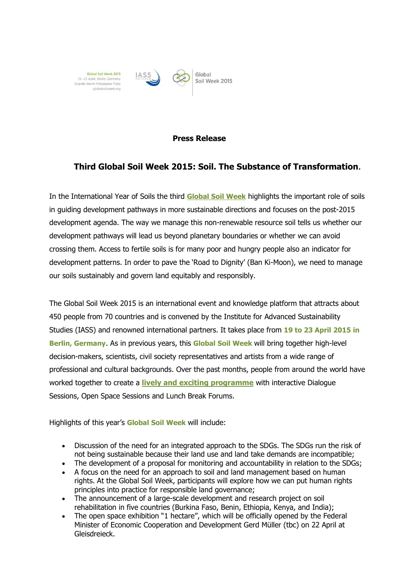

## **Press Release**

## **Third Global Soil Week 2015: Soil. The Substance of Transformation.**

In the International Year of Soils the third **[Global Soil Week](http://globalsoilweek.org/)** highlights the important role of soils in guiding development pathways in more sustainable directions and focuses on the post-2015 development agenda. The way we manage this non-renewable resource soil tells us whether our development pathways will lead us beyond planetary boundaries or whether we can avoid crossing them. Access to fertile soils is for many poor and hungry people also an indicator for development patterns. In order to pave the 'Road to Dignity' (Ban Ki-Moon), we need to manage our soils sustainably and govern land equitably and responsibly.

The Global Soil Week 2015 is an international event and knowledge platform that attracts about 450 people from 70 countries and is convened by the Institute for Advanced Sustainability Studies (IASS) and renowned international partners. It takes place from **19 to 23 April 2015 in Berlin, Germany**. As in previous years, this **Global Soil Week** will bring together high-level decision-makers, scientists, civil society representatives and artists from a wide range of professional and cultural backgrounds. Over the past months, people from around the world have worked together to create a **[lively and exciting programme](http://globalsoilweek.org/gsw-2013/programme/)** with interactive Dialogue Sessions, Open Space Sessions and Lunch Break Forums.

Highlights of this year's **Global Soil Week** will include:

- Discussion of the need for an integrated approach to the SDGs. The SDGs run the risk of not being sustainable because their land use and land take demands are incompatible;
- The development of a proposal for monitoring and accountability in relation to the SDGs;
- A focus on the need for an approach to soil and land management based on human rights. At the Global Soil Week, participants will explore how we can put human rights principles into practice for responsible land governance;
- The announcement of a large-scale development and research project on soil rehabilitation in five countries (Burkina Faso, Benin, Ethiopia, Kenya, and India);
- The open space exhibition "1 hectare", which will be officially opened by the Federal Minister of Economic Cooperation and Development Gerd Müller (tbc) on 22 April at Gleisdreieck.